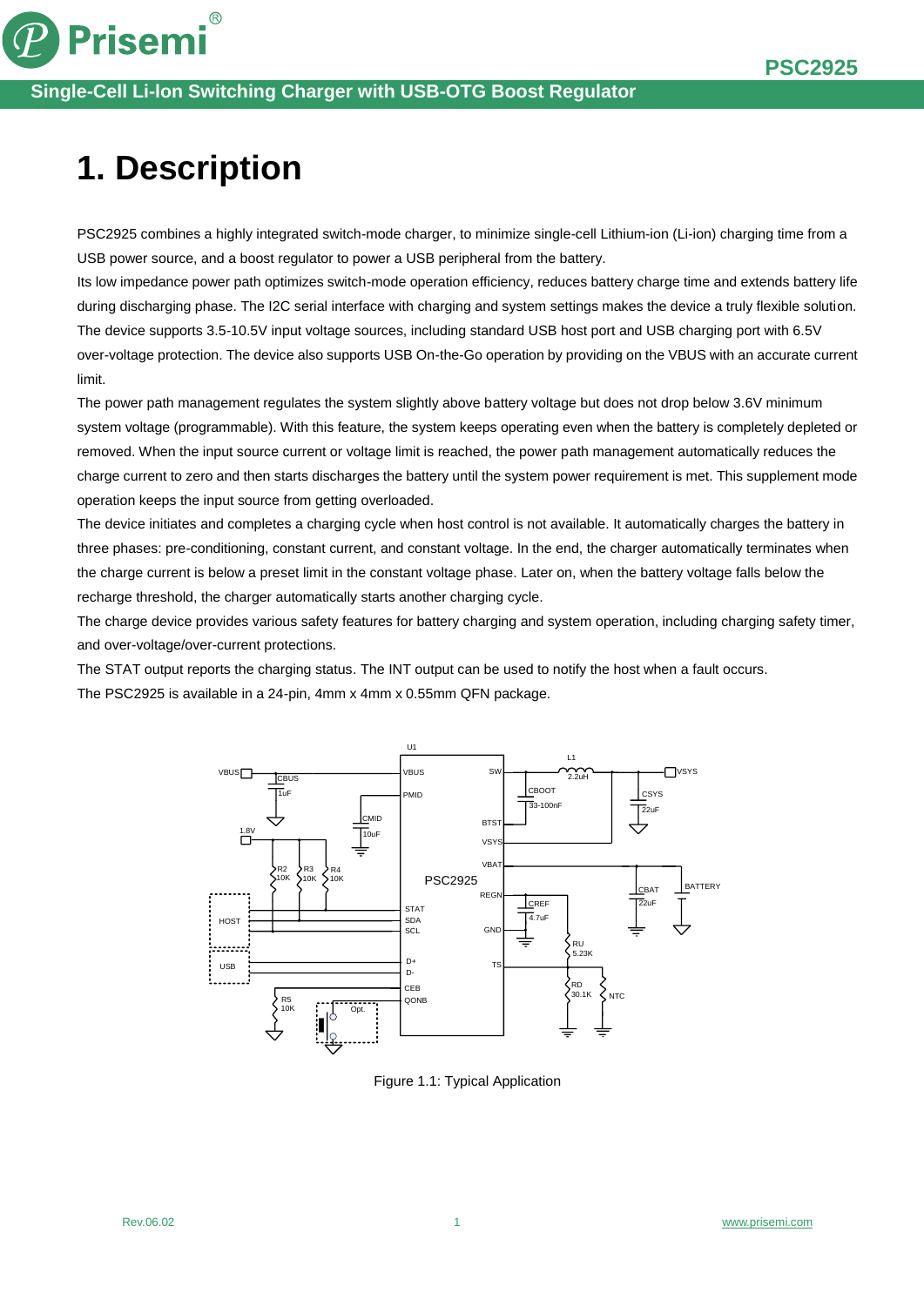

 $\circledR$ 

#### **Single-Cell Li-lon Switching Charger with USB-OTG Boost Regulator**

# **1. Description**

PSC2925 combines a highly integrated switch-mode charger, to minimize single-cell Lithium-ion (Li-ion) charging time from a USB power source, and a boost regulator to power a USB peripheral from the battery.

Its low impedance power path optimizes switch-mode operation efficiency, reduces battery charge time and extends battery life during discharging phase. The I2C serial interface with charging and system settings makes the device a truly flexible solution. The device supports 3.5-10.5V input voltage sources, including standard USB host port and USB charging port with 6.5V over-voltage protection. The device also supports USB On-the-Go operation by providing on the VBUS with an accurate current limit.

The power path management regulates the system slightly above battery voltage but does not drop below 3.6V minimum system voltage (programmable). With this feature, the system keeps operating even when the battery is completely depleted or removed. When the input source current or voltage limit is reached, the power path management automatically reduces the charge current to zero and then starts discharges the battery until the system power requirement is met. This supplement mode operation keeps the input source from getting overloaded.

The device initiates and completes a charging cycle when host control is not available. It automatically charges the battery in three phases: pre-conditioning, constant current, and constant voltage. In the end, the charger automatically terminates when the charge current is below a preset limit in the constant voltage phase. Later on, when the battery voltage falls below the recharge threshold, the charger automatically starts another charging cycle.

The charge device provides various safety features for battery charging and system operation, including charging safety timer, and over-voltage/over-current protections.

The STAT output reports the charging status. The INT output can be used to notify the host when a fault occurs. The PSC2925 is available in a 24-pin, 4mm x 4mm x 0.55mm QFN package.



Figure 1.1: Typical Application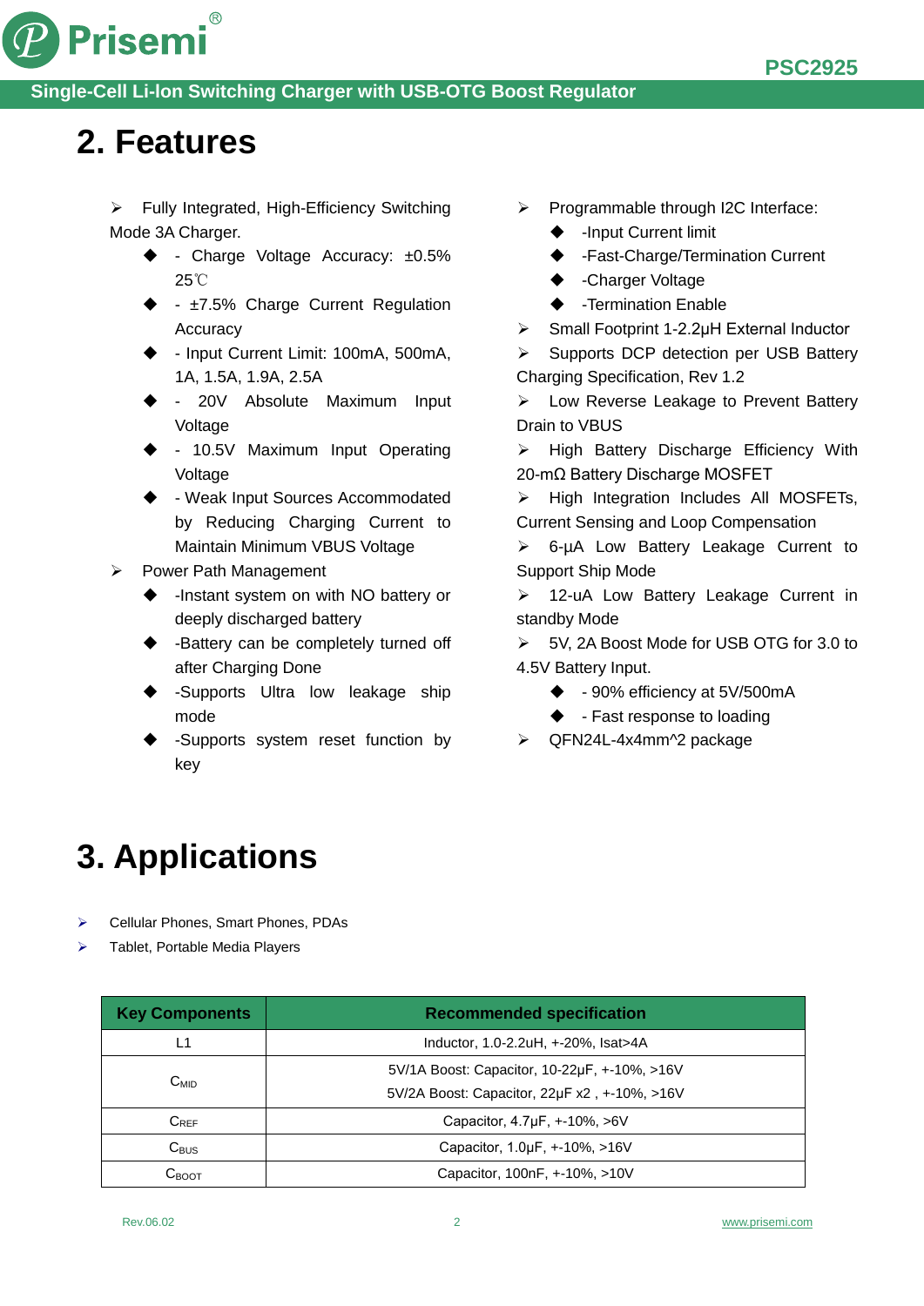



#### **Single-Cell Li-lon Switching Charger with USB-OTG Boost Regulator**

### **2. Features**

 $\triangleright$  Fully Integrated, High-Efficiency Switching Mode 3A Charger.

- $\triangleleft$  Charge Voltage Accuracy:  $\pm 0.5\%$ 25℃
- $\div$   $\pm$ 7.5% Charge Current Regulation Accuracy
- Input Current Limit: 100mA, 500mA, 1A, 1.5A, 1.9A, 2.5A
- 20V Absolute Maximum Input Voltage
- 10.5V Maximum Input Operating Voltage
- Weak Input Sources Accommodated by Reducing Charging Current to Maintain Minimum VBUS Voltage
- Power Path Management
	- -Instant system on with NO battery or deeply discharged battery
	- -Battery can be completely turned off after Charging Done
	- -Supports Ultra low leakage ship mode
	- -Supports system reset function by key
- $\triangleright$  Programmable through I2C Interface:
	- -Input Current limit
	- -Fast-Charge/Termination Current
	- ◆ -Charger Voltage
	- ◆ -Termination Enable
- Small Footprint 1-2.2μH External Inductor

Supports DCP detection per USB Battery Charging Specification, Rev 1.2

 Low Reverse Leakage to Prevent Battery Drain to VBUS

 $\triangleright$  High Battery Discharge Efficiency With 20-mΩ Battery Discharge MOSFET

 $\triangleright$  High Integration Includes All MOSFETs, Current Sensing and Loop Compensation

 6-µA Low Battery Leakage Current to Support Ship Mode

> 12-uA Low Battery Leakage Current in standby Mode

- 5V, 2A Boost Mode for USB OTG for 3.0 to 4.5V Battery Input.
	- $\bullet$  90% efficiency at 5V/500mA
	- $\blacklozenge$  Fast response to loading
- $\triangleright$  QFN24L-4x4mm^2 package

### **3. Applications**

- Cellular Phones, Smart Phones, PDAs
- Tablet, Portable Media Players

| <b>Key Components</b> | <b>Recommended specification</b>                                                             |
|-----------------------|----------------------------------------------------------------------------------------------|
| L1                    | Inductor, 1.0-2.2uH, +-20%, Isat>4A                                                          |
| $C_{MID}$             | 5V/1A Boost: Capacitor, 10-22µF, +-10%, >16V<br>5V/2A Boost: Capacitor, 22µF x2, +-10%, >16V |
| $C_{REF}$             | Capacitor, 4.7µF, +-10%, >6V                                                                 |
| $C_{\text{BUS}}$      | Capacitor, 1.0µF, +-10%, >16V                                                                |
| Своот                 | Capacitor, 100nF, +-10%, >10V                                                                |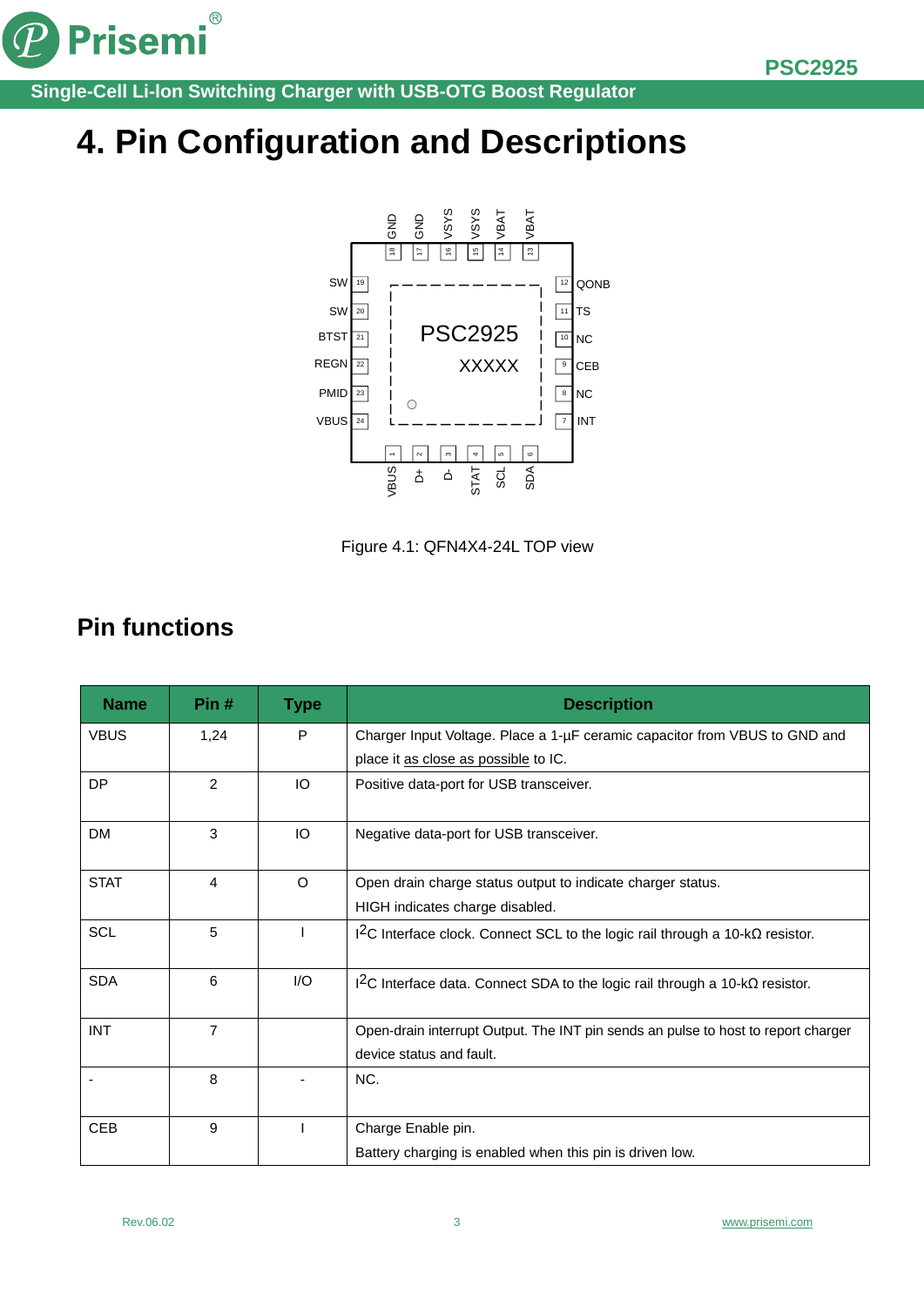

Prisemi®

**Single-Cell Li-lon Switching Charger with USB-OTG Boost Regulator**

# **4. Pin Configuration and Descriptions**



Figure 4.1: QFN4X4-24L TOP view

### **Pin functions**

| <b>Name</b> | Pin#           | <b>Type</b> | <b>Description</b>                                                                       |
|-------------|----------------|-------------|------------------------------------------------------------------------------------------|
| <b>VBUS</b> | 1,24           | P           | Charger Input Voltage. Place a 1-µF ceramic capacitor from VBUS to GND and               |
|             |                |             | place it as close as possible to IC.                                                     |
| DP          | $\overline{2}$ | IO          | Positive data-port for USB transceiver.                                                  |
| <b>DM</b>   | 3              | IO          | Negative data-port for USB transceiver.                                                  |
| <b>STAT</b> | 4              | $\Omega$    | Open drain charge status output to indicate charger status.                              |
|             |                |             | HIGH indicates charge disabled.                                                          |
| <b>SCL</b>  | 5              |             | $12C$ Interface clock. Connect SCL to the logic rail through a 10-k $\Omega$ resistor.   |
| <b>SDA</b>  | 6              | 1/O         | I <sup>2</sup> C Interface data. Connect SDA to the logic rail through a 10-kΩ resistor. |
| <b>INT</b>  | $\overline{7}$ |             | Open-drain interrupt Output. The INT pin sends an pulse to host to report charger        |
|             |                |             | device status and fault.                                                                 |
|             | 8              |             | NC.                                                                                      |
| <b>CEB</b>  | 9              |             | Charge Enable pin.                                                                       |
|             |                |             | Battery charging is enabled when this pin is driven low.                                 |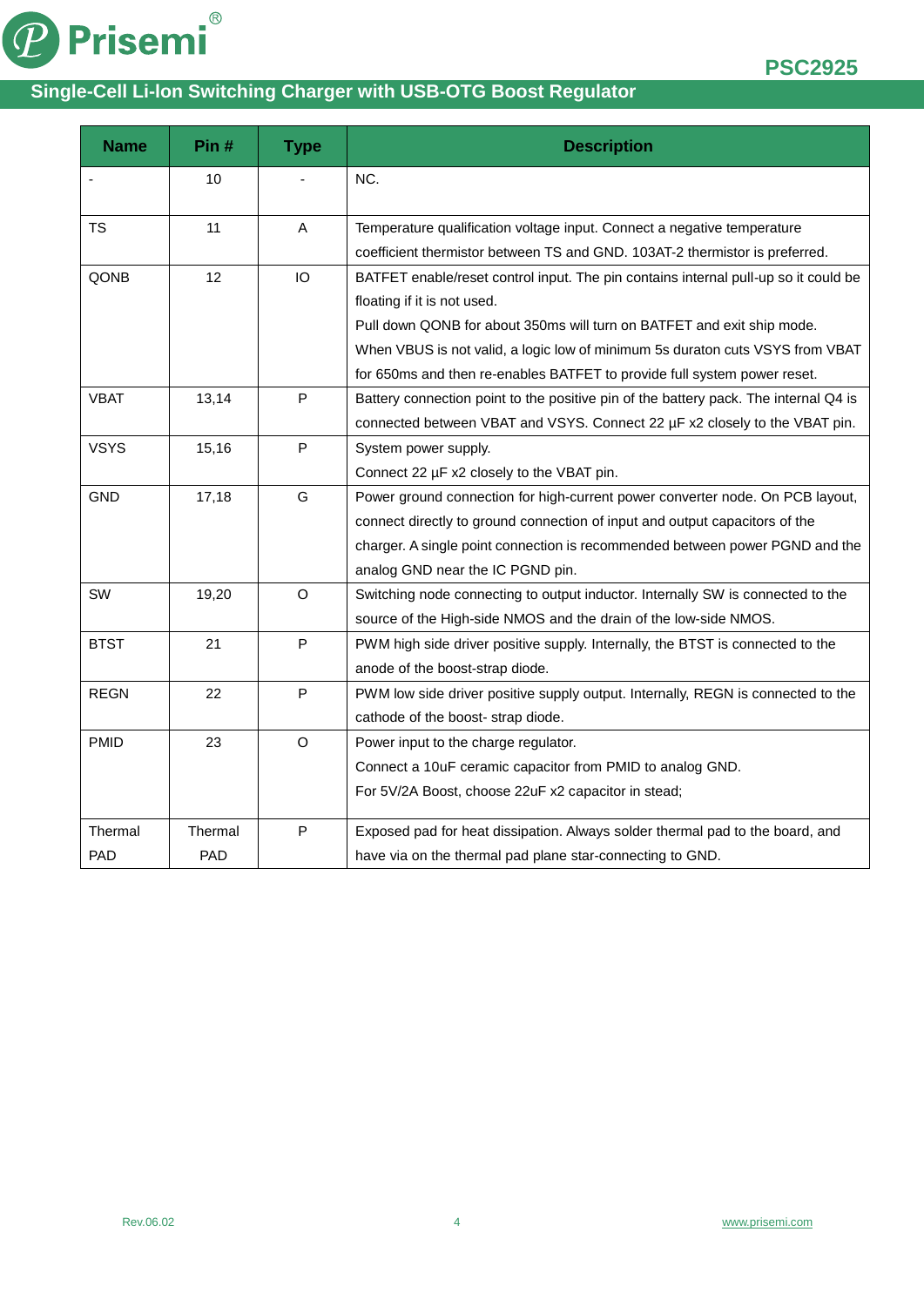

**PSC2925**

#### **Single-Cell Li-lon Switching Charger with USB-OTG Boost Regulator**

| <b>Name</b> | Pin#    | <b>Type</b>  | <b>Description</b>                                                                   |
|-------------|---------|--------------|--------------------------------------------------------------------------------------|
|             | 10      |              | NC.                                                                                  |
| <b>TS</b>   | 11      | A            | Temperature qualification voltage input. Connect a negative temperature              |
|             |         |              | coefficient thermistor between TS and GND. 103AT-2 thermistor is preferred.          |
| QONB        | 12      | IO           | BATFET enable/reset control input. The pin contains internal pull-up so it could be  |
|             |         |              | floating if it is not used.                                                          |
|             |         |              | Pull down QONB for about 350ms will turn on BATFET and exit ship mode.               |
|             |         |              | When VBUS is not valid, a logic low of minimum 5s duraton cuts VSYS from VBAT        |
|             |         |              | for 650ms and then re-enables BATFET to provide full system power reset.             |
| <b>VBAT</b> | 13,14   | P            | Battery connection point to the positive pin of the battery pack. The internal Q4 is |
|             |         |              | connected between VBAT and VSYS. Connect 22 µF x2 closely to the VBAT pin.           |
| <b>VSYS</b> | 15,16   | $\mathsf P$  | System power supply.                                                                 |
|             |         |              | Connect 22 µF x2 closely to the VBAT pin.                                            |
| <b>GND</b>  | 17,18   | G            | Power ground connection for high-current power converter node. On PCB layout,        |
|             |         |              | connect directly to ground connection of input and output capacitors of the          |
|             |         |              | charger. A single point connection is recommended between power PGND and the         |
|             |         |              | analog GND near the IC PGND pin.                                                     |
| SW          | 19,20   | $\circ$      | Switching node connecting to output inductor. Internally SW is connected to the      |
|             |         |              | source of the High-side NMOS and the drain of the low-side NMOS.                     |
| <b>BTST</b> | 21      | P            | PWM high side driver positive supply. Internally, the BTST is connected to the       |
|             |         |              | anode of the boost-strap diode.                                                      |
| <b>REGN</b> | 22      | $\mathsf{P}$ | PWM low side driver positive supply output. Internally, REGN is connected to the     |
|             |         |              | cathode of the boost- strap diode.                                                   |
| <b>PMID</b> | 23      | $\circ$      | Power input to the charge regulator.                                                 |
|             |         |              | Connect a 10uF ceramic capacitor from PMID to analog GND.                            |
|             |         |              | For 5V/2A Boost, choose 22uF x2 capacitor in stead;                                  |
| Thermal     | Thermal | $\mathsf P$  | Exposed pad for heat dissipation. Always solder thermal pad to the board, and        |
| <b>PAD</b>  | PAD     |              | have via on the thermal pad plane star-connecting to GND.                            |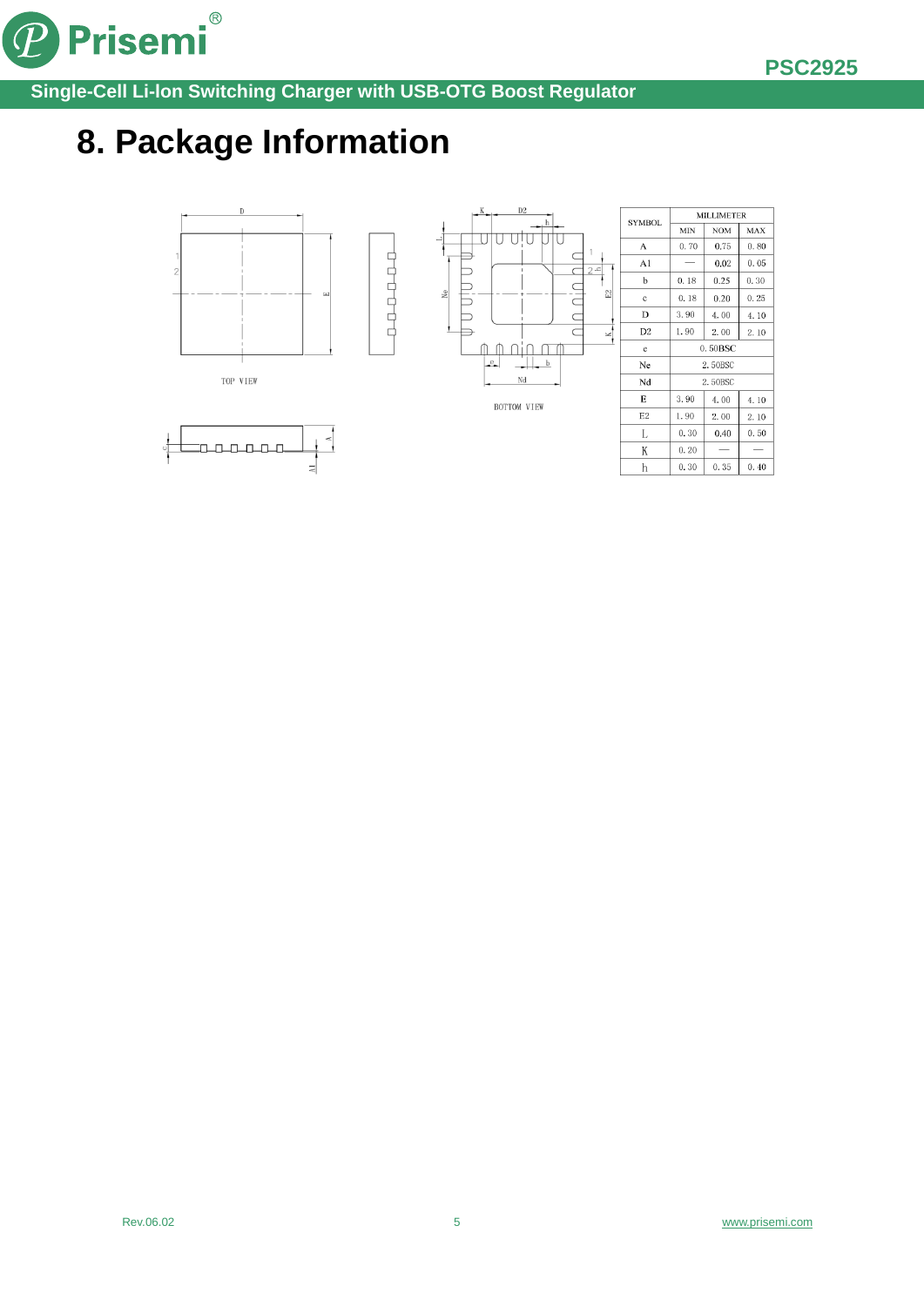

Prisemi®  $\left( \mathcal{P}\right)$ 

**Single-Cell Li-lon Switching Charger with USB-OTG Boost Regulator**

## **8. Package Information**